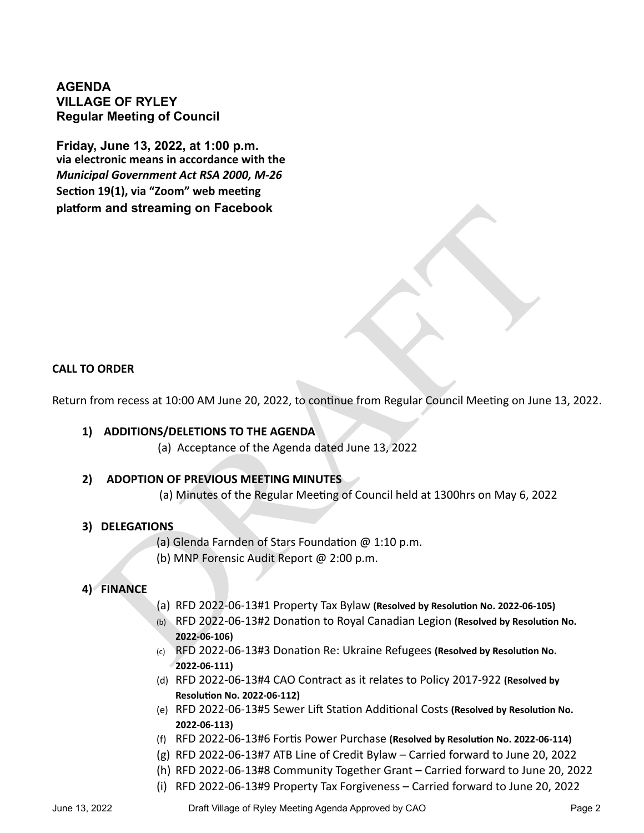# **AGENDA VILLAGE OF RYLEY Regular Meeting of Council**

**Friday, June 13, 2022, at 1:00 p.m. via electronic means in accordance with the**  *Municipal Government Act RSA 2000, M-26* **Section 19(1), via "Zoom" web meeting platform and streaming on Facebook**

### **CALL TO ORDER**

Return from recess at 10:00 AM June 20, 2022, to continue from Regular Council Meeting on June 13, 2022.

# **1) ADDITIONS/DELETIONS TO THE AGENDA**

(a) Acceptance of the Agenda dated June 13, 2022

# **2) ADOPTION OF PREVIOUS MEETING MINUTES**

(a) Minutes of the Regular Meeting of Council held at 1300hrs on May 6, 2022

### **3) DELEGATIONS**

(a) Glenda Farnden of Stars Foundation @ 1:10 p.m.

(b) MNP Forensic Audit Report @ 2:00 p.m.

# **4) FINANCE**

- (a) RFD 2022-06-13#1 Property Tax Bylaw **(Resolved by Resolution No. 2022-06-105)**
- m and streaming on Facebook<br>
Trom recess at 10:00 AM June 20, 2022, to continue from Regular Council Meeting on June<br>
2. ADDITIONS/DELETIONS TO THE AGENDA<br>
(a) Acceptance of the Agenda dated June 13, 2022<br>
ADOPTION OF PR (b) RFD 2022-06-13#2 Donation to Royal Canadian Legion **(Resolved by Resolution No. 2022-06-106)**
	- (c) RFD 2022-06-13#3 Donation Re: Ukraine Refugees **(Resolved by Resolution No. 2022-06-111)**
	- (d) RFD 2022-06-13#4 CAO Contract as it relates to Policy 2017-922 **(Resolved by Resolution No. 2022-06-112)**
	- (e) RFD 2022-06-13#5 Sewer Lift Station Additional Costs **(Resolved by Resolution No. 2022-06-113)**
	- (f) RFD 2022-06-13#6 Fortis Power Purchase **(Resolved by Resolution No. 2022-06-114)**
	- (g) RFD 2022-06-13#7 ATB Line of Credit Bylaw Carried forward to June 20, 2022
	- (h) RFD 2022-06-13#8 Community Together Grant Carried forward to June 20, 2022
	- (i) RFD 2022-06-13#9 Property Tax Forgiveness Carried forward to June 20, 2022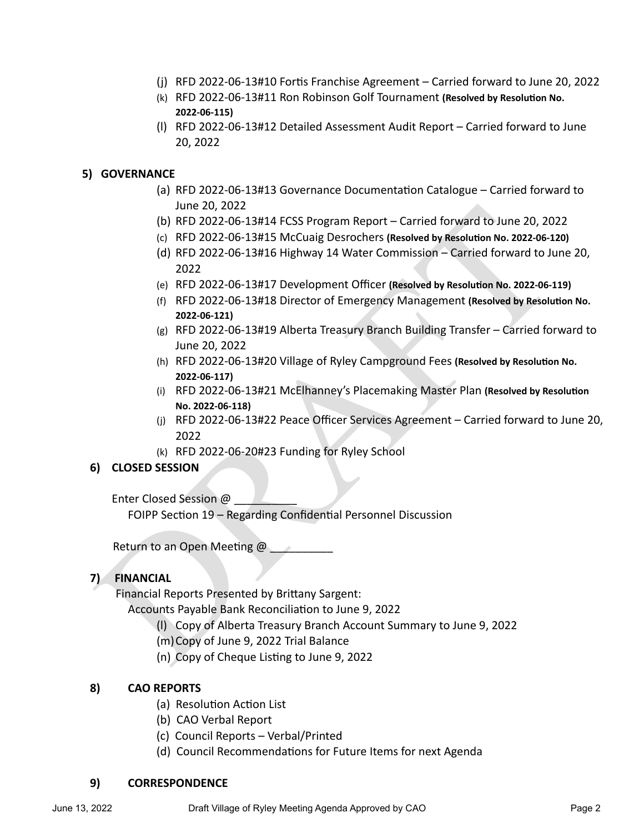- (j) RFD 2022-06-13#10 Fortis Franchise Agreement Carried forward to June 20, 2022
- (k) RFD 2022-06-13#11 Ron Robinson Golf Tournament **(Resolved by Resolution No. 2022-06-115)**
- (l) RFD 2022-06-13#12 Detailed Assessment Audit Report Carried forward to June 20, 2022

### **5) GOVERNANCE**

- (a) RFD 2022-06-13#13 Governance Documentation Catalogue Carried forward to June 20, 2022
- (b) RFD 2022-06-13#14 FCSS Program Report Carried forward to June 20, 2022
- (c) RFD 2022-06-13#15 McCuaig Desrochers **(Resolved by Resolution No. 2022-06-120)**
- (d) RFD 2022-06-13#16 Highway 14 Water Commission Carried forward to June 20, 2022
- (e) RFD 2022-06-13#17 Development Officer **(Resolved by Resolution No. 2022-06-119)**
- (f) RFD 2022-06-13#18 Director of Emergency Management **(Resolved by Resolution No. 2022-06-121)**
- (g) RFD 2022-06-13#19 Alberta Treasury Branch Building Transfer Carried forward to June 20, 2022
- (h) RFD 2022-06-13#20 Village of Ryley Campground Fees **(Resolved by Resolution No. 2022-06-117)**
- (i) RFD 2022-06-13#21 McElhanney's Placemaking Master Plan **(Resolved by Resolution No. 2022-06-118)**
- Up RFD 2022-06-13#14 FCSS Program Report Carried forward to June 20, 20;<br>
(b) RFD 2022-06-13#15 McCuaig Desrochers (Resolved by Resolution No. 2022-06-1<br>
(d) RFD 2022-06-13#15 McCuaig Desrochers (Resolved by Resolution N (j) RFD 2022-06-13#22 Peace Officer Services Agreement – Carried forward to June 20, 2022
	- (k) RFD 2022-06-20#23 Funding for Ryley School

# **6) CLOSED SESSION**

Enter Closed Session @

FOIPP Section 19 – Regarding Confidential Personnel Discussion

Return to an Open Meeting  $\omega$ 

# **7) FINANCIAL**

Financial Reports Presented by Brittany Sargent:

Accounts Payable Bank Reconciliation to June 9, 2022

- (l) Copy of Alberta Treasury Branch Account Summary to June 9, 2022
- (m)Copy of June 9, 2022 Trial Balance
- (n) Copy of Cheque Listing to June 9, 2022

### **8) CAO REPORTS**

- (a) Resolution Action List
- (b) CAO Verbal Report
- (c) Council Reports Verbal/Printed
- (d) Council Recommendations for Future Items for next Agenda

### **9) CORRESPONDENCE**